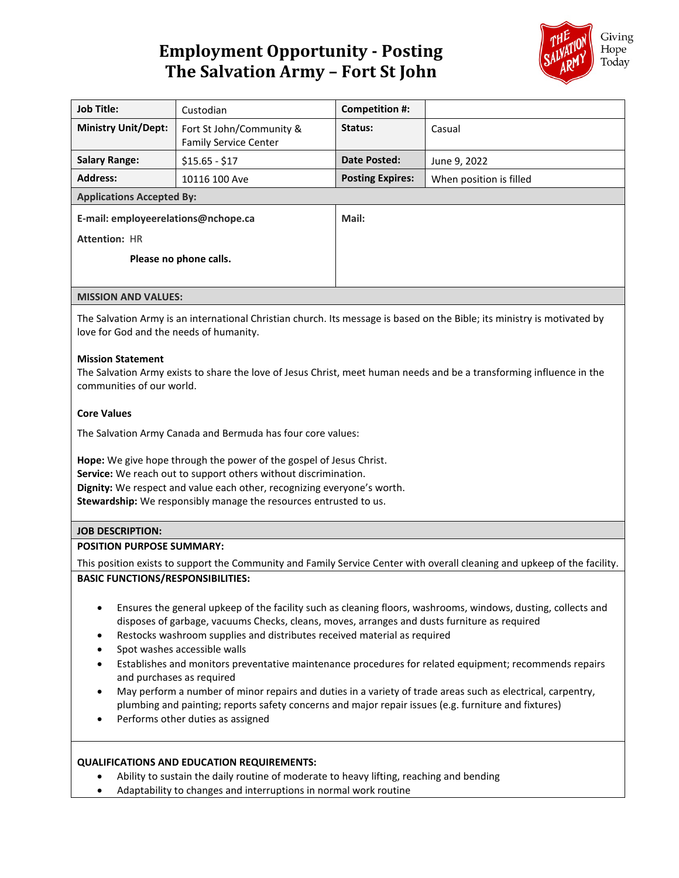# **Employment Opportunity - Posting The Salvation Army – Fort St John**



| <b>Job Title:</b>                   | Custodian                                                | Competition #:          |                         |
|-------------------------------------|----------------------------------------------------------|-------------------------|-------------------------|
| <b>Ministry Unit/Dept:</b>          | Fort St John/Community &<br><b>Family Service Center</b> | Status:                 | Casual                  |
| <b>Salary Range:</b>                | $$15.65 - $17$                                           | Date Posted:            | June 9, 2022            |
| <b>Address:</b>                     | 10116 100 Ave                                            | <b>Posting Expires:</b> | When position is filled |
| <b>Applications Accepted By:</b>    |                                                          |                         |                         |
| E-mail: employeerelations@nchope.ca |                                                          | Mail:                   |                         |
| <b>Attention: HR</b>                |                                                          |                         |                         |
| Please no phone calls.              |                                                          |                         |                         |
| <b>MISSION AND VALUES:</b>          |                                                          |                         |                         |

The Salvation Army is an international Christian church. Its message is based on the Bible; its ministry is motivated by love for God and the needs of humanity.

## **Mission Statement**

The Salvation Army exists to share the love of Jesus Christ, meet human needs and be a transforming influence in the communities of our world.

#### **Core Values**

The Salvation Army Canada and Bermuda has four core values:

**Hope:** We give hope through the power of the gospel of Jesus Christ. **Service:** We reach out to support others without discrimination. **Dignity:** We respect and value each other, recognizing everyone's worth. **Stewardship:** We responsibly manage the resources entrusted to us.

#### **JOB DESCRIPTION:**

### **POSITION PURPOSE SUMMARY:**

This position exists to support the Community and Family Service Center with overall cleaning and upkeep of the facility. **BASIC FUNCTIONS/RESPONSIBILITIES:**

- Ensures the general upkeep of the facility such as cleaning floors, washrooms, windows, dusting, collects and disposes of garbage, vacuums Checks, cleans, moves, arranges and dusts furniture as required
- Restocks washroom supplies and distributes received material as required
- Spot washes accessible walls
- Establishes and monitors preventative maintenance procedures for related equipment; recommends repairs and purchases as required
- May perform a number of minor repairs and duties in a variety of trade areas such as electrical, carpentry, plumbing and painting; reports safety concerns and major repair issues (e.g. furniture and fixtures)
- Performs other duties as assigned

#### **QUALIFICATIONS AND EDUCATION REQUIREMENTS:**

- Ability to sustain the daily routine of moderate to heavy lifting, reaching and bending
- Adaptability to changes and interruptions in normal work routine